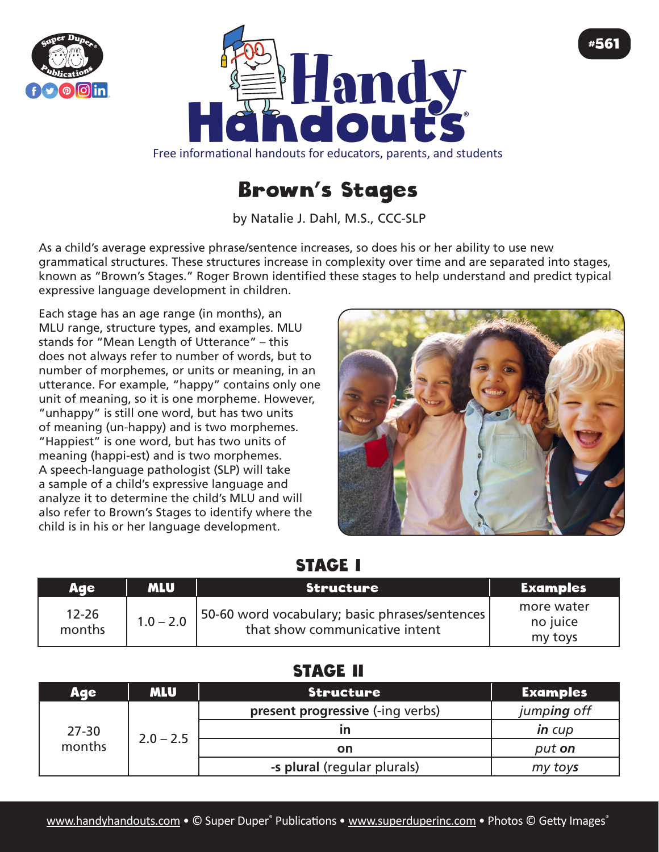



# Brown's Stages

by Natalie J. Dahl, M.S., CCC-SLP

As a child's average expressive phrase/sentence increases, so does his or her ability to use new grammatical structures. These structures increase in complexity over time and are separated into stages, known as "Brown's Stages." Roger Brown identified these stages to help understand and predict typical expressive language development in children.

Each stage has an age range (in months), an MLU range, structure types, and examples. MLU stands for "Mean Length of Utterance" – this does not always refer to number of words, but to number of morphemes, or units or meaning, in an utterance. For example, "happy" contains only one unit of meaning, so it is one morpheme. However, "unhappy" is still one word, but has two units of meaning (un-happy) and is two morphemes. "Happiest" is one word, but has two units of meaning (happi-est) and is two morphemes. A speech-language pathologist (SLP) will take a sample of a child's expressive language and analyze it to determine the child's MLU and will also refer to Brown's Stages to identify where the child is in his or her language development.



#561

#### STAGE I

| Ade                 | <b>MLU</b>  | Structure                                                                        | <b>Examples</b>                   |
|---------------------|-------------|----------------------------------------------------------------------------------|-----------------------------------|
| $12 - 26$<br>months | $1.0 - 2.0$ | 50-60 word vocabulary; basic phrases/sentences<br>that show communicative intent | more water<br>no juice<br>my toys |

## STAGE II

| <b>Age</b>          | <b>MLU</b>  | <b>Structure</b>                 | <b>Examples</b> |
|---------------------|-------------|----------------------------------|-----------------|
| $27 - 30$<br>months | $2.0 - 2.5$ | present progressive (-ing verbs) | jumping off     |
|                     |             |                                  | in cup          |
|                     |             | on                               | put on          |
|                     |             | -s plural (regular plurals)      | my toys         |